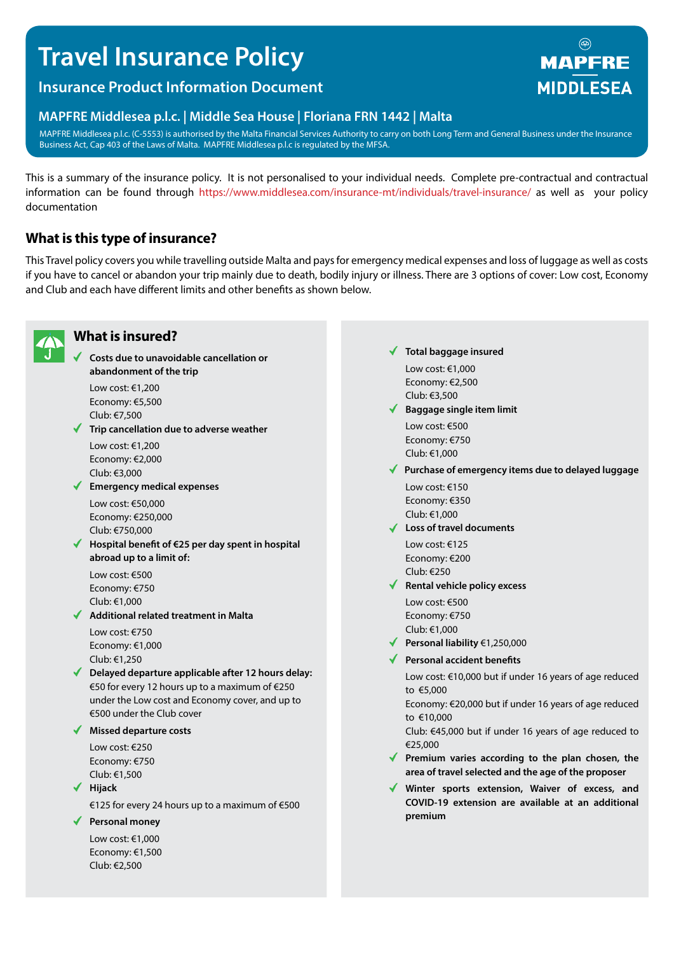# **Travel Insurance Policy**

# **Insurance Product Information Document**

# **MAPFRE Middlesea p.l.c. | Middle Sea House | Floriana FRN 1442 | Malta**

MAPFRE Middlesea p.l.c. (C-5553) is authorised by the Malta Financial Services Authority to carry on both Long Term and General Business under the Insurance Business Act, Cap 403 of the Laws of Malta. MAPFRE Middlesea p.l.c is regulated by the MFSA.

This is a summary of the insurance policy. It is not personalised to your individual needs. Complete pre-contractual and contractual information can be found through https://www.middlesea.com/insurance-mt/individuals/travel-insurance/ as well as your policy documentation

# **What is this type of insurance?**

This Travel policy covers you while travelling outside Malta and pays for emergency medical expenses and loss of luggage as well as costs if you have to cancel or abandon your trip mainly due to death, bodily injury or illness. There are 3 options of cover: Low cost, Economy and Club and each have different limits and other benefits as shown below.



# **What is insured?**

**Costs due to unavoidable cancellation or abandonment of the trip**

Low cost: €1,200 Economy: €5,500 Club: €7,500

**Trip cancellation due to adverse weather** Low cost: €1,200

Economy: €2,000 Club: €3,000

**Emergency medical expenses**

Low cost: €50,000 Economy: €250,000 Club: €750,000

**Hospital benefit of €25 per day spent in hospital abroad up to a limit of:**

Low cost: €500 Economy: €750 Club: €1,000

**Additional related treatment in Malta** Low cost: €750

Economy: €1,000 Club: €1,250

**Delayed departure applicable after 12 hours delay:**  €50 for every 12 hours up to a maximum of €250 under the Low cost and Economy cover, and up to €500 under the Club cover

**Missed departure costs**

Low cost: €250 Economy: €750 Club: €1,500

**Hijack**

€125 for every 24 hours up to a maximum of €500

**Personal money**

Low cost: €1,000 Economy: €1,500 Club: €2,500

#### **Total baggage insured**

Low cost: €1,000 Economy: €2,500 Club: €3,500

- **Baggage single item limit** Low cost: €500 Economy: €750 Club: €1,000
- **Purchase of emergency items due to delayed luggage**
	- Low cost: €150 Economy: €350 Club: €1,000
- **Loss of travel documents** Low cost: €125 Economy: €200 Club: €250
- **Rental vehicle policy excess**

Low cost: €500 Economy: €750 Club: €1,000

- **Personal liability** €1,250,000
- **Personal accident benefits**

Low cost: €10,000 but if under 16 years of age reduced to €5,000

Economy: €20,000 but if under 16 years of age reduced to €10,000

Club: €45,000 but if under 16 years of age reduced to €25,000

- **Premium varies according to the plan chosen, the area of travel selected and the age of the proposer**
- **Winter sports extension, Waiver of excess, and COVID-19 extension are available at an additional premium**

# $\circledR$ **MAPFRE MIDDLESEA**